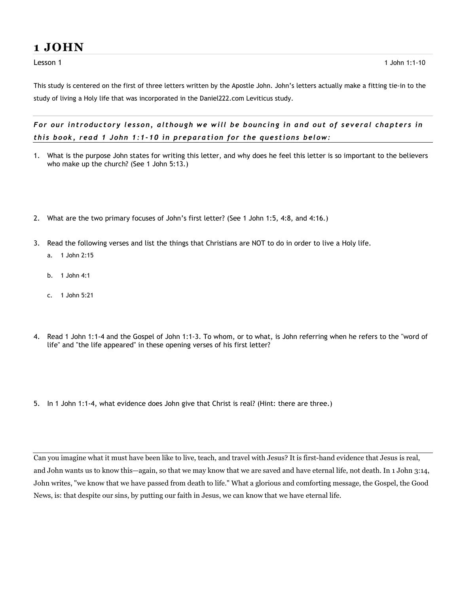## 1 JOHN

This study is centered on the first of three letters written by the Apostle John. John's letters actually make a fitting tie-in to the study of living a Holy life that was incorporated in the Daniel222.com Leviticus study.

For our introductory lesson, although we will be bouncing in and out of several chapters in this book, read 1 John 1:1-10 in preparation for the questions below:

- 1. What is the purpose John states for writing this letter, and why does he feel this letter is so important to the believers who make up the church? (See 1 John 5:13.)
- 2. What are the two primary focuses of John's first letter? (See 1 John 1:5, 4:8, and 4:16.)
- 3. Read the following verses and list the things that Christians are NOT to do in order to live a Holy life.
	- a. 1 John 2:15
	- b. 1 John 4:1
	- c. 1 John 5:21
- 4. Read 1 John 1:1-4 and the Gospel of John 1:1-3. To whom, or to what, is John referring when he refers to the "word of life" and "the life appeared" in these opening verses of his first letter?
- 5. In 1 John 1:1-4, what evidence does John give that Christ is real? (Hint: there are three.)

Can you imagine what it must have been like to live, teach, and travel with Jesus? It is first-hand evidence that Jesus is real, and John wants us to know this—again, so that we may know that we are saved and have eternal life, not death. In 1 John 3:14, John writes, "we know that we have passed from death to life." What a glorious and comforting message, the Gospel, the Good News, is: that despite our sins, by putting our faith in Jesus, we can know that we have eternal life.